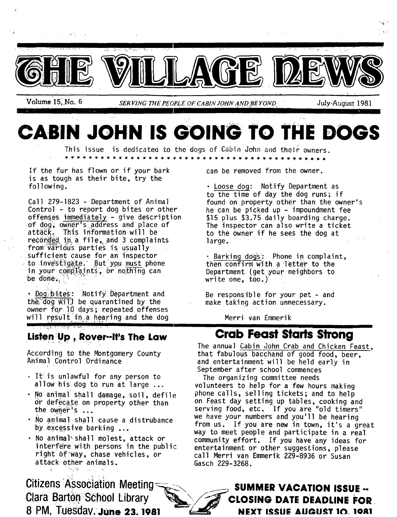

**CABIN JOHN IS GOING TO THE DOGS** 

This issue is dedicated to the dogs of Cabin John and their owners. *<u> x x x x x x x x x x x x x</u>* 

If the fur has flown or if your bark is as tough as their bite, try the following.

Call 279-1823 - Department of Animal Control - to report dog bites or other offenses immediately - give description of dog, owner's address and place of attack. This information will be reconded in a file, and 3 complaints from various parties is usually sufficient cause for an inspector to investigate. But you must phone in your complaints, or nothing can be done.

• Dog, bites: Notify Department and the  $\overline{dog}$  will be quarantined by the owner for 10 days; repeated offenses will result in a hearing and the dog

#### **Listen ;Up, Rover--It's The Law**  . " ' • , i + - , i + - , i + - , i + - , i + - , i + - , i + - , i + - , i + - , i + - , i + - , i + - , i + -

According to the Montgomery County Animal Control Ordinance

- It is unlawful for any person to allow his dog to run at large ...
- No an'imal shall damage, soil, defile or defecate on property other than the owner's ...
- No animal .shall cause a distrubance by excessive barking ...
- No animal shall molest, attack or interfere with persons in the public right of way, chase vehicles, or attack other animals.

**Citizens Association Meeting And Accuration SUMMER VACATION ISSUE .. 8 PM, Tuesdav, June 23. 1981**  $\bullet$  **<b>NEXT ISSUE AUGUST 10. 1981** 

Can be removed from the owner.

• Loose dog: Notify Department as to the time of day the dog runs; if found on property other than the owner's he can be picked up - impoundment fee \$15 plus \$3.75 daily boarding charge. The inspector can also write a ticket to the owner if he sees the dog at large.

· Barking dogs: Phone in complaint. then confirm with a letter to the Department (get your neighbors to write one, too.)

Be responsible for your pet - and make taking action unnecessary.

Merri van Emmerik

## **Crab Feast Starts Strong**

The annual Cabin John Crab and Chicken Feast, that fabulous bacchand of good food, beer, and entertainment will be held early in September after school commences

The organizing committee needs volunteers to help for a few hours making phone calls, selling tickets; and to help on Feast day setting:up tables, cooking and serving food, etc. If you are "old timers" we have your numbers and you'll be hearing from us. If you are new in town, it's a great way to meet people and participate in a real community effort. If you have any ideas for entertainment or other suggestions, please call Merri van Emmerik 229-8936 or Susan Gasch 229-3268.

**Clara Barton School Library <b>& CLOSING DATE DEADLINE FOR**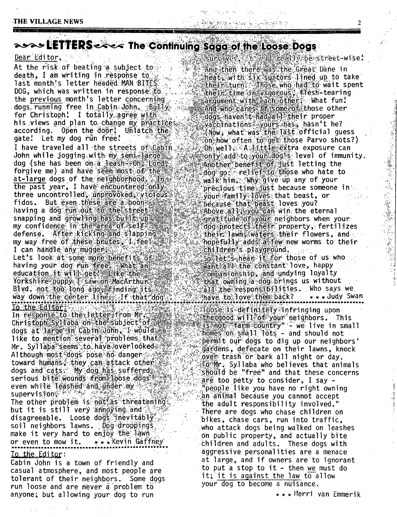# associal ETTERS external The Continuing Sagarof the Loose Dogs

#### Dear Editor,

At the risk of beating a subject to death. I am writing in response to last month's letter headed MAN BITES DOG, which was written in response to the previous month's letter concerning dogs running free in Cabin John. Bully for Christoph! I totally agree with his views and plan to change my practices. according. Open the door! Unlatch the gate! Let my dog run free!

I have traveled all the streets of Cabin John while jogging with my semi-lange dog (she has been on a leash--oh, Lord forgive me) and have seen most of the at-large dogs of the neighborhood. The the past year, I have encountered only three uncontrolled, unprovoked, vicious fidos. But even these are a boon.<br>having a dog run out to the stneet snapping and growling has built up. my confidence in the area of self? defense. After kicking and slapping my way free of these brutes. I feel I can handle any mudders

Let's look at some more benefits of having your dog run free. What an education it will det late the s Yorkshire puppy I saw on MacArthur Bl vd. not too long ago, if inding its way down the center line a If that dog To the Editor:

In response to the letter from Mr. Christoph Syllaba on the subject of dogs at large an cabin John, I would like to mention several problems that Mr. Syllaba seems to have overlooked Although most dogs pose no danger toward humans, they can attack other dogs and cats. My dog has suffered serious bite wounds from loose dogs even while leashed and under my supervision等<sup>和资本经济</sup>

The other problem is not as threatening but it is still very annoying and disagreeable. Loose dogs inevitably. soil neighbors lawns. Dog droppings make it very hard to enjoy the lawn or even to mow it. \*\*\* Kevin Gaffney To the Editor:

Cabin John is a town of friendly and casual atmosphere, and most people are tolerant of their neighbors. Some dogs run loose and are never a problem to anyone; but allowing your dog to run

survaves, 'Evanteneally be street-wise.' And then there was the Great Dane in heat, with six suitors lined up to take their turn: Those who had to wait spent their time in vigorous, flesh-tearing argument.with each other What fun! And who cares if isome of those other dogs haven't had all their proper vaccimations = yours has, hasn't he? (Now, what was the last official guess on how often to get those Parvo shots?) Oh well. A little extra exposure can only add to your dog's level of immunity. Another benefit of just letting the dog go: relief to those who hate to walk him. Why give up any of your precious time just because someone in ∜õum family lõves that beast, or<br>because that beast loves you? Above all syou can win the eternal gratitude of your neighbors when your dog protects their property, fertilizes their lawn, waters their flowers, and hopefully adds a few new worms to their children's playground.  $142\%$  . So let's hear it for those of us who want all the constant love, happy

in the property of the control of the control of the control of the control of the control of the control of t

companionship, and undying loyalty that owning a dog brings us without all the responsibilities. Who says we have to love them back? \* \* \* Judy Swan loose is definitely infringing upon the good will of your neighbors. This **ISAnot "farm country" - we live in small** homes on small lots - and should not permit our dogs to dig up our neighbors' gardens, defecate on their lawns, knock over trash or bark all night or day. To Mr. Syllaba who believes that animals should be "free" and that these concerns are too petty to consider, I say -"people like you have no right owning án animal because you cannot accept the adult responsibility involved." There are dogs who chase children on bikes, chase cars, run into traffic, who attack dogs being walked on leashes on public property, and actually bite children and adults. These dogs with aggressive personalities are a menace at large, and if owners are to ignorant to put a stop to it - then we must do it; it is against the law to allow your dog to become a nuisance.

 $*$   $*$  Merri van Emmerik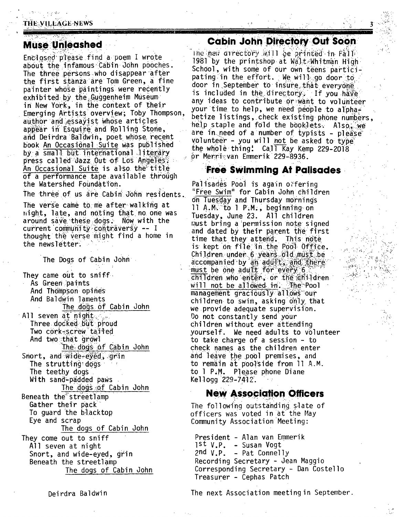### **THE VILLAGE NEWS**

## **Muse Unleashed**

Enclosed please find a poem I wrote about the infamous Cabin John pooches. The three persons who disappear after the first stanza are Tom Green, a fine painter whose paintings were recently exhibited by the Guggenheim Museum in New York, in the context of their Emerging Artists overview; Toby Thompson, author and essay ist whose articles appear in Esquire and Rolling Stone, and Deirdra Baldwin, poet whose recent book An Occasional Suite was published by a small but international literary press called Jazz Out of Los Angeles. An Occasional Suite is also the title of a performance tape available through the Watershed Foundation.

The three of us are Cabin John residents.

The verse came to me after walking at night, late, and noting that no one was around save these dogs. Now with the current community contraversy -- I thought the verse might find a home in the newsletter.

The Dogs of Cabin John

They came out to smiff As Green paints And Thompson opines And Baldwin laments The dogs of Cabin John All seven at night. Three docked but proud Two cork-screw tailed And two that growl The dogs of Cabin John Snort, and wide-eyed, grin The strutting dogs The teethy dogs With sand-padded paws The dogs of Cabin John Beneath the streetlamp Gather their pack To quard the blacktop Eye and scrap The dogs of Cabin John They come out to sniff All seven at night Snort, and wide-eyed, grin Beneath the streetlamp The dogs of Cabin John

## **Cabin John Directory Out Soon**

The hew directory will be printed in Fall 1981 by the printshop at Walt Whitman High School, with some of our own teens participating in the effort. We will go door to door in September to insure that everyone is included in the directory. If you have any ideas to contribute or want to volunteer your time to help, we need people to alphabetize listings, check existing phone numbers. help staple and fold the booklets. Also we are in need of a number of typists - please volunteer - you will not be asked to type the whole thing:  $Ca1\overline{1}$  Kay Kemp 229-2018 or Mennigvan Emmerik 229-8936.

## **Free Swimming At Palisades**

Palisades Pool is again offering "Free Swim" for Cabin John children on Tuesday and Thursday mornings 11 A.M. to 1 P.M., beginning on Tuesday, June 23. All children must bring a permission note signed and dated by their parent the first time that they attend. This note is kept on file in the Pool Office. Children under 6 years old must be accompanied by an adult, and there must be one adult for every 6 children who enter, or the children will not be allowed in. The Pool management graciously allows our children to swim, asking only that we provide adequate supervision. Do not constantly send your children without ever attending yourself. We need adults to volunteer to take charge of a session - to check names as the children enter and leave the pool premises, and to remain at poolside from 11 A.M. to 1 P.M. Please phone Diane Kellogg 229-7412.

## **New Association Officers**

The following outstanding slate of officers was voted in at the May Community Association Meeting:

President - Alan van Emmerik 1st V.P. - Susan Vogt 2nd  $V.P. - Pat Connelly$ Recording Secretary - Jean Maggio Corresponding Secretary - Dan Costello Treasurer - Cephas Patch

Deirdra Baldwin

The next Association meeting in September.